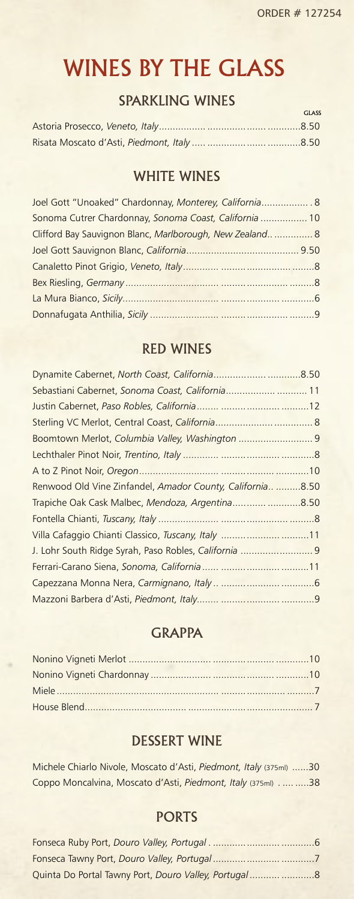GLASS

# WINES BY THE GLASS

### SPARKLING WINES

# WHITE WINES

| Joel Gott "Unoaked" Chardonnay, Monterey, California 8   |  |
|----------------------------------------------------------|--|
| Sonoma Cutrer Chardonnay, Sonoma Coast, California  10   |  |
| Clifford Bay Sauvignon Blanc, Marlborough, New Zealand 8 |  |
|                                                          |  |
|                                                          |  |
|                                                          |  |
|                                                          |  |
|                                                          |  |

## RED WINES

| Sebastiani Cabernet, Sonoma Coast, California 11          |
|-----------------------------------------------------------|
|                                                           |
|                                                           |
| Boomtown Merlot, Columbia Valley, Washington  9           |
|                                                           |
|                                                           |
| Renwood Old Vine Zinfandel, Amador County, California8.50 |
| Trapiche Oak Cask Malbec, Mendoza, Argentina8.50          |
|                                                           |
| Villa Cafaggio Chianti Classico, Tuscany, Italy 11        |
| J. Lohr South Ridge Syrah, Paso Robles, California  9     |
|                                                           |
|                                                           |
|                                                           |
|                                                           |

### **GRAPPA**

# DESSERT WINE

| Michele Chiarlo Nivole, Moscato d'Asti, Piedmont, Italy (375ml) 30 |  |
|--------------------------------------------------------------------|--|
| Coppo Moncalvina, Moscato d'Asti, Piedmont, Italy (375ml) 38       |  |

## PORTS

| Quinta Do Portal Tawny Port, Douro Valley, Portugal8 |
|------------------------------------------------------|